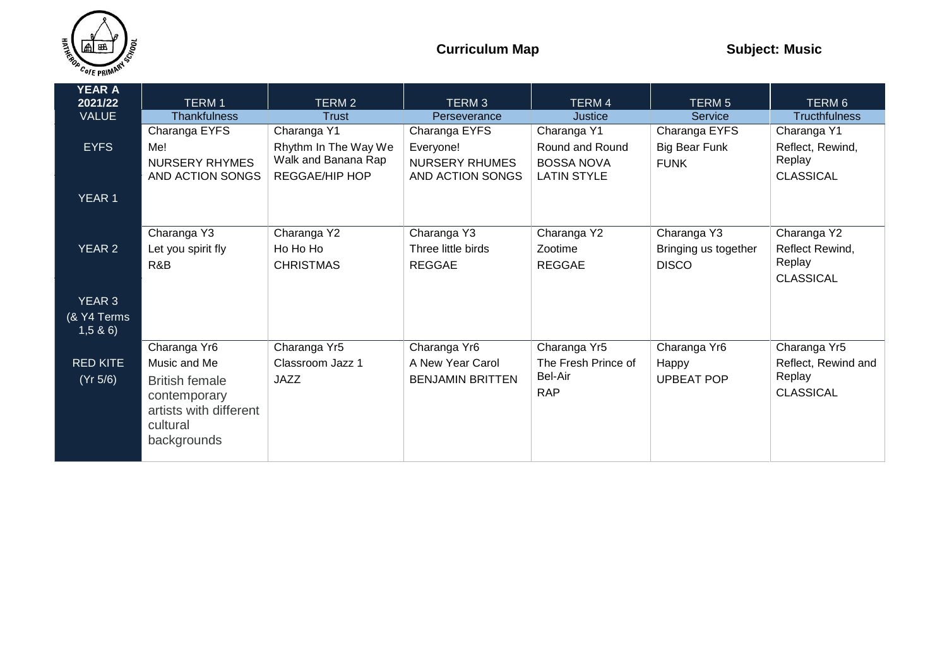

| <b>YEAR A</b><br>2021/22 | <b>TERM1</b>             | TERM 2                | TERM <sub>3</sub>        | <b>TERM 4</b>       | <b>TERM 5</b>            | TERM 6               |
|--------------------------|--------------------------|-----------------------|--------------------------|---------------------|--------------------------|----------------------|
| <b>VALUE</b>             | <b>Thankfulness</b>      | <b>Trust</b>          | Perseverance             | Justice             | Service                  | <b>Tructhfulness</b> |
|                          | Charanga EYFS            | Charanga Y1           | Charanga EYFS            | Charanga Y1         | Charanga EYFS            | Charanga Y1          |
| <b>EYFS</b>              | Me!                      | Rhythm In The Way We  | Everyone!                | Round and Round     | <b>Big Bear Funk</b>     | Reflect, Rewind,     |
|                          | <b>NURSERY RHYMES</b>    | Walk and Banana Rap   | <b>NURSERY RHUMES</b>    | <b>BOSSA NOVA</b>   | <b>FUNK</b>              | Replay               |
|                          | AND ACTION SONGS         | <b>REGGAE/HIP HOP</b> | AND ACTION SONGS         | <b>LATIN STYLE</b>  |                          | <b>CLASSICAL</b>     |
|                          |                          |                       |                          |                     |                          |                      |
| <b>YEAR 1</b>            |                          |                       |                          |                     |                          |                      |
|                          |                          |                       |                          |                     |                          |                      |
|                          | Charanga Y3              | Charanga Y2           | Charanga Y3              | Charanga Y2         | Charanga Y3              | Charanga Y2          |
| YEAR 2                   | Let you spirit fly       | Ho Ho Ho              | Three little birds       | Zootime             | Bringing us together     | Reflect Rewind,      |
|                          | R&B                      | <b>CHRISTMAS</b>      | <b>REGGAE</b>            | <b>REGGAE</b>       | <b>DISCO</b>             | Replay               |
|                          |                          |                       |                          |                     |                          | <b>CLASSICAL</b>     |
|                          |                          |                       |                          |                     |                          |                      |
| <b>YEAR 3</b>            |                          |                       |                          |                     |                          |                      |
| (& Y4 Terms              |                          |                       |                          |                     |                          |                      |
| 1,5 & 6                  |                          |                       |                          |                     |                          |                      |
|                          | Charanga Yr <sub>6</sub> | Charanga Yr5          | Charanga Yr <sub>6</sub> | Charanga Yr5        | Charanga Yr <sub>6</sub> | Charanga Yr5         |
| <b>RED KITE</b>          | Music and Me             | Classroom Jazz 1      | A New Year Carol         | The Fresh Prince of | Happy                    | Reflect, Rewind and  |
| (Yr 5/6)                 | <b>British female</b>    | <b>JAZZ</b>           | <b>BENJAMIN BRITTEN</b>  | Bel-Air             | <b>UPBEAT POP</b>        | Replay               |
|                          | contemporary             |                       |                          | <b>RAP</b>          |                          | <b>CLASSICAL</b>     |
|                          | artists with different   |                       |                          |                     |                          |                      |
|                          | cultural                 |                       |                          |                     |                          |                      |
|                          | backgrounds              |                       |                          |                     |                          |                      |
|                          |                          |                       |                          |                     |                          |                      |
|                          |                          |                       |                          |                     |                          |                      |